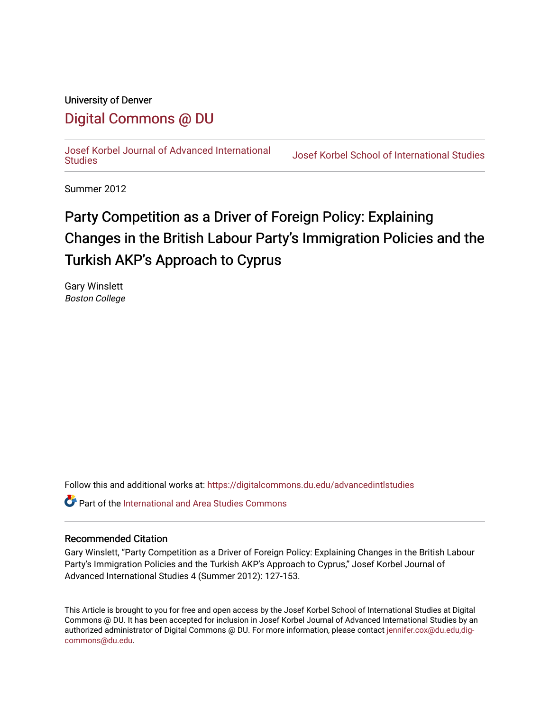## University of Denver

## [Digital Commons @ DU](https://digitalcommons.du.edu/)

[Josef Korbel Journal of Advanced International](https://digitalcommons.du.edu/advancedintlstudies) 

**Josef Korbel School of International Studies** 

Summer 2012

# Party Competition as a Driver of Foreign Policy: Explaining Changes in the British Labour Party's Immigration Policies and the Turkish AKP's Approach to Cyprus

Gary Winslett Boston College

Follow this and additional works at: [https://digitalcommons.du.edu/advancedintlstudies](https://digitalcommons.du.edu/advancedintlstudies?utm_source=digitalcommons.du.edu%2Fadvancedintlstudies%2F10&utm_medium=PDF&utm_campaign=PDFCoverPages)

**C** Part of the International and Area Studies Commons

#### Recommended Citation

Gary Winslett, "Party Competition as a Driver of Foreign Policy: Explaining Changes in the British Labour Party's Immigration Policies and the Turkish AKP's Approach to Cyprus," Josef Korbel Journal of Advanced International Studies 4 (Summer 2012): 127-153.

This Article is brought to you for free and open access by the Josef Korbel School of International Studies at Digital Commons @ DU. It has been accepted for inclusion in Josef Korbel Journal of Advanced International Studies by an authorized administrator of Digital Commons @ DU. For more information, please contact [jennifer.cox@du.edu,dig](mailto:jennifer.cox@du.edu,dig-commons@du.edu)[commons@du.edu.](mailto:jennifer.cox@du.edu,dig-commons@du.edu)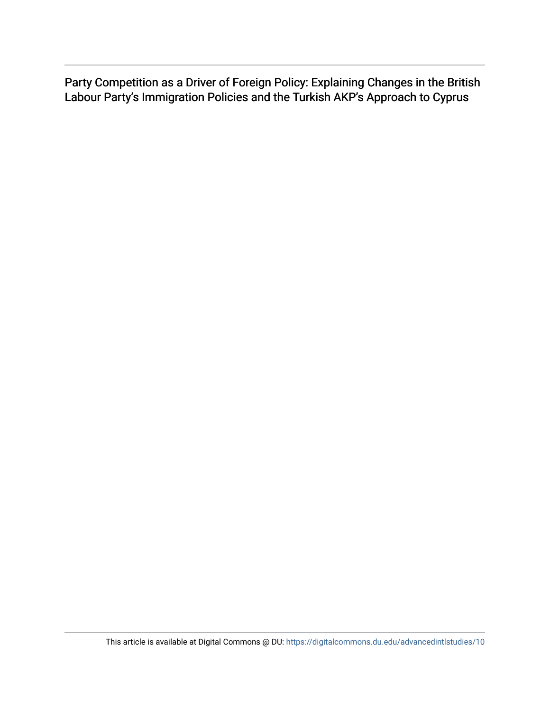Party Competition as a Driver of Foreign Policy: Explaining Changes in the British Labour Party's Immigration Policies and the Turkish AKP's Approach to Cyprus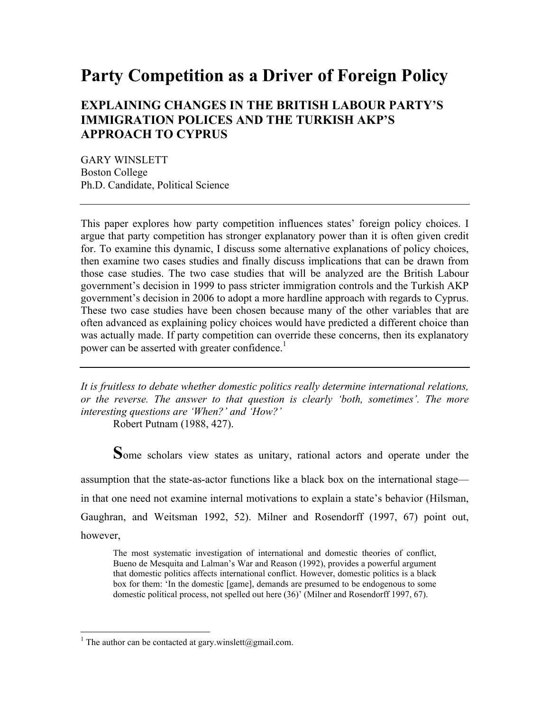## **Party Competition as a Driver of Foreign Policy**

### **EXPLAINING CHANGES IN THE BRITISH LABOUR PARTY'S IMMIGRATION POLICES AND THE TURKISH AKP'S APPROACH TO CYPRUS**

GARY WINSLETT Boston College Ph.D. Candidate, Political Science

This paper explores how party competition influences states' foreign policy choices. I argue that party competition has stronger explanatory power than it is often given credit for. To examine this dynamic, I discuss some alternative explanations of policy choices, then examine two cases studies and finally discuss implications that can be drawn from those case studies. The two case studies that will be analyzed are the British Labour government's decision in 1999 to pass stricter immigration controls and the Turkish AKP government's decision in 2006 to adopt a more hardline approach with regards to Cyprus. These two case studies have been chosen because many of the other variables that are often advanced as explaining policy choices would have predicted a different choice than was actually made. If party competition can override these concerns, then its explanatory power can be asserted with greater confidence.<sup>1</sup>

*It is fruitless to debate whether domestic politics really determine international relations, or the reverse. The answer to that question is clearly 'both, sometimes'. The more interesting questions are 'When?' and 'How?'*

Robert Putnam (1988, 427).

**S**ome scholars view states as unitary, rational actors and operate under the

assumption that the state-as-actor functions like a black box on the international stage in that one need not examine internal motivations to explain a state's behavior (Hilsman, Gaughran, and Weitsman 1992, 52). Milner and Rosendorff (1997, 67) point out, however,

The most systematic investigation of international and domestic theories of conflict, Bueno de Mesquita and Lalman's War and Reason (1992), provides a powerful argument that domestic politics affects international conflict. However, domestic politics is a black box for them: 'In the domestic [game], demands are presumed to be endogenous to some domestic political process, not spelled out here (36)' (Milner and Rosendorff 1997, 67).

 $\frac{1}{1}$ <sup>1</sup> The author can be contacted at gary.winslett@gmail.com.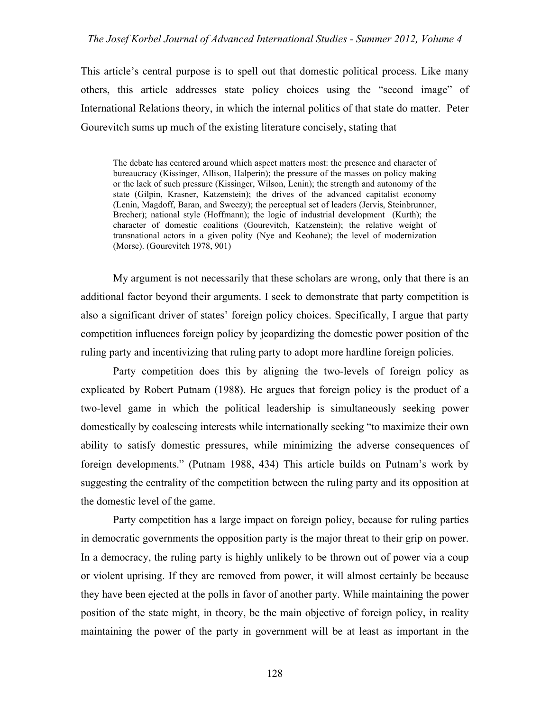#### *The Josef Korbel Journal of Advanced International Studies - Summer 2012, Volume 4*

This article's central purpose is to spell out that domestic political process. Like many others, this article addresses state policy choices using the "second image" of International Relations theory, in which the internal politics of that state do matter. Peter Gourevitch sums up much of the existing literature concisely, stating that

The debate has centered around which aspect matters most: the presence and character of bureaucracy (Kissinger, Allison, Halperin); the pressure of the masses on policy making or the lack of such pressure (Kissinger, Wilson, Lenin); the strength and autonomy of the state (Gilpin, Krasner, Katzenstein); the drives of the advanced capitalist economy (Lenin, Magdoff, Baran, and Sweezy); the perceptual set of leaders (Jervis, Steinbrunner, Brecher); national style (Hoffmann); the logic of industrial development (Kurth); the character of domestic coalitions (Gourevitch, Katzenstein); the relative weight of transnational actors in a given polity (Nye and Keohane); the level of modernization (Morse). (Gourevitch 1978, 901)

My argument is not necessarily that these scholars are wrong, only that there is an additional factor beyond their arguments. I seek to demonstrate that party competition is also a significant driver of states' foreign policy choices. Specifically, I argue that party competition influences foreign policy by jeopardizing the domestic power position of the ruling party and incentivizing that ruling party to adopt more hardline foreign policies.

Party competition does this by aligning the two-levels of foreign policy as explicated by Robert Putnam (1988). He argues that foreign policy is the product of a two-level game in which the political leadership is simultaneously seeking power domestically by coalescing interests while internationally seeking "to maximize their own ability to satisfy domestic pressures, while minimizing the adverse consequences of foreign developments." (Putnam 1988, 434) This article builds on Putnam's work by suggesting the centrality of the competition between the ruling party and its opposition at the domestic level of the game.

Party competition has a large impact on foreign policy, because for ruling parties in democratic governments the opposition party is the major threat to their grip on power. In a democracy, the ruling party is highly unlikely to be thrown out of power via a coup or violent uprising. If they are removed from power, it will almost certainly be because they have been ejected at the polls in favor of another party. While maintaining the power position of the state might, in theory, be the main objective of foreign policy, in reality maintaining the power of the party in government will be at least as important in the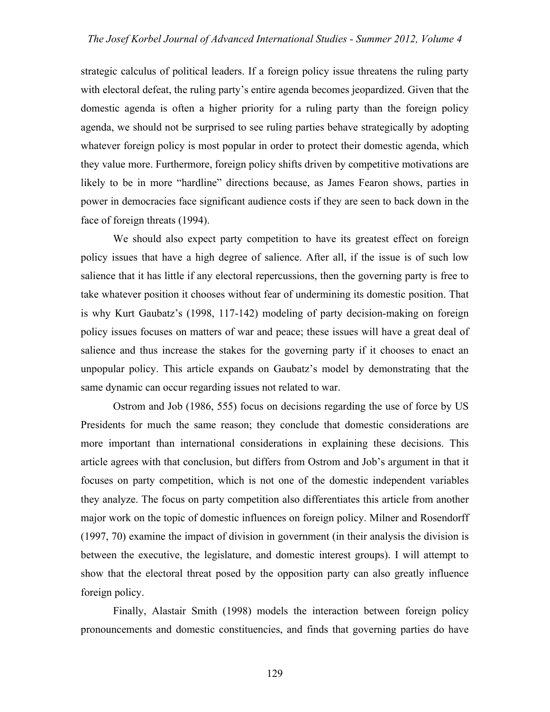strategic calculus of political leaders. If a foreign policy issue threatens the ruling party with electoral defeat, the ruling party's entire agenda becomes jeopardized. Given that the domestic agenda is often a higher priority for a ruling party than the foreign policy agenda, we should not be surprised to see ruling parties behave strategically by adopting whatever foreign policy is most popular in order to protect their domestic agenda, which they value more. Furthermore, foreign policy shifts driven by competitive motivations are likely to be in more "hardline" directions because, as James Fearon shows, parties in power in democracies face significant audience costs if they are seen to back down in the face of foreign threats (1994).

We should also expect party competition to have its greatest effect on foreign policy issues that have a high degree of salience. After all, if the issue is of such low salience that it has little if any electoral repercussions, then the governing party is free to take whatever position it chooses without fear of undermining its domestic position. That is why Kurt Gaubatz's (1998, 117-142) modeling of party decision-making on foreign policy issues focuses on matters of war and peace; these issues will have a great deal of salience and thus increase the stakes for the governing party if it chooses to enact an unpopular policy. This article expands on Gaubatz's model by demonstrating that the same dynamic can occur regarding issues not related to war.

Ostrom and Job (1986, 555) focus on decisions regarding the use of force by US Presidents for much the same reason; they conclude that domestic considerations are more important than international considerations in explaining these decisions. This article agrees with that conclusion, but differs from Ostrom and Job's argument in that it focuses on party competition, which is not one of the domestic independent variables they analyze. The focus on party competition also differentiates this article from another major work on the topic of domestic influences on foreign policy. Milner and Rosendorff (1997, 70) examine the impact of division in government (in their analysis the division is between the executive, the legislature, and domestic interest groups). I will attempt to show that the electoral threat posed by the opposition party can also greatly influence foreign policy.

Finally, Alastair Smith (1998) models the interaction between foreign policy pronouncements and domestic constituencies, and finds that governing parties do have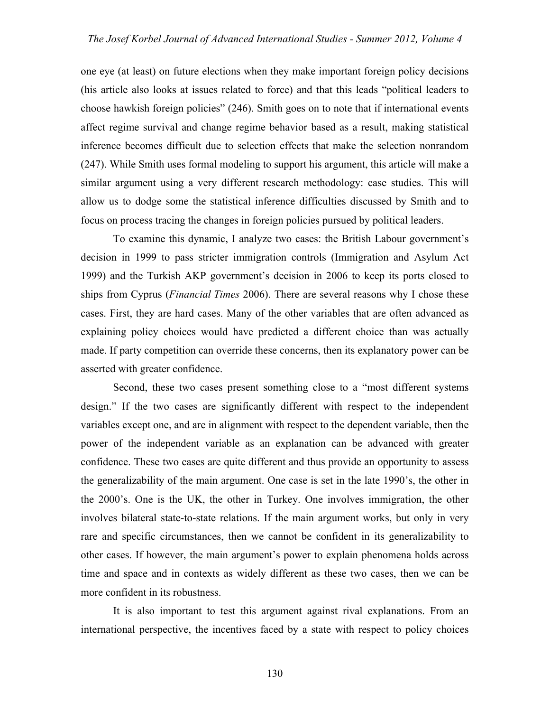one eye (at least) on future elections when they make important foreign policy decisions (his article also looks at issues related to force) and that this leads "political leaders to choose hawkish foreign policies" (246). Smith goes on to note that if international events affect regime survival and change regime behavior based as a result, making statistical inference becomes difficult due to selection effects that make the selection nonrandom (247). While Smith uses formal modeling to support his argument, this article will make a similar argument using a very different research methodology: case studies. This will allow us to dodge some the statistical inference difficulties discussed by Smith and to focus on process tracing the changes in foreign policies pursued by political leaders.

To examine this dynamic, I analyze two cases: the British Labour government's decision in 1999 to pass stricter immigration controls (Immigration and Asylum Act 1999) and the Turkish AKP government's decision in 2006 to keep its ports closed to ships from Cyprus (*Financial Times* 2006). There are several reasons why I chose these cases. First, they are hard cases. Many of the other variables that are often advanced as explaining policy choices would have predicted a different choice than was actually made. If party competition can override these concerns, then its explanatory power can be asserted with greater confidence.

Second, these two cases present something close to a "most different systems design." If the two cases are significantly different with respect to the independent variables except one, and are in alignment with respect to the dependent variable, then the power of the independent variable as an explanation can be advanced with greater confidence. These two cases are quite different and thus provide an opportunity to assess the generalizability of the main argument. One case is set in the late 1990's, the other in the 2000's. One is the UK, the other in Turkey. One involves immigration, the other involves bilateral state-to-state relations. If the main argument works, but only in very rare and specific circumstances, then we cannot be confident in its generalizability to other cases. If however, the main argument's power to explain phenomena holds across time and space and in contexts as widely different as these two cases, then we can be more confident in its robustness.

It is also important to test this argument against rival explanations. From an international perspective, the incentives faced by a state with respect to policy choices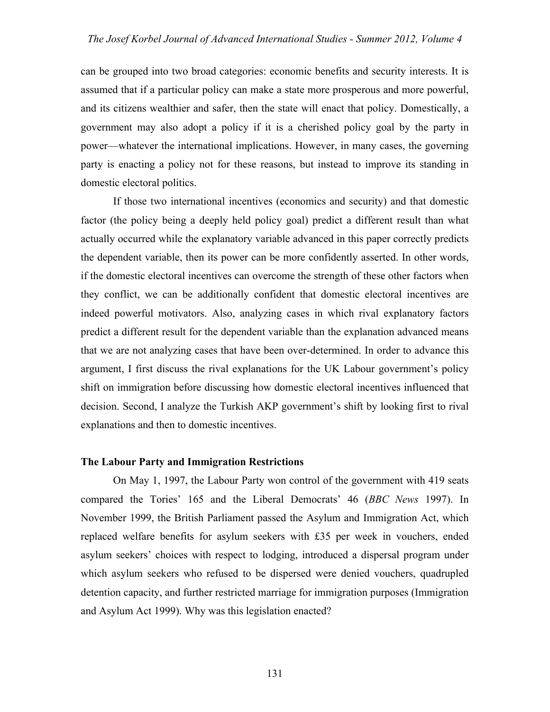can be grouped into two broad categories: economic benefits and security interests. It is assumed that if a particular policy can make a state more prosperous and more powerful, and its citizens wealthier and safer, then the state will enact that policy. Domestically, a government may also adopt a policy if it is a cherished policy goal by the party in power—whatever the international implications. However, in many cases, the governing party is enacting a policy not for these reasons, but instead to improve its standing in domestic electoral politics.

If those two international incentives (economics and security) and that domestic factor (the policy being a deeply held policy goal) predict a different result than what actually occurred while the explanatory variable advanced in this paper correctly predicts the dependent variable, then its power can be more confidently asserted. In other words, if the domestic electoral incentives can overcome the strength of these other factors when they conflict, we can be additionally confident that domestic electoral incentives are indeed powerful motivators. Also, analyzing cases in which rival explanatory factors predict a different result for the dependent variable than the explanation advanced means that we are not analyzing cases that have been over-determined. In order to advance this argument, I first discuss the rival explanations for the UK Labour government's policy shift on immigration before discussing how domestic electoral incentives influenced that decision. Second, I analyze the Turkish AKP government's shift by looking first to rival explanations and then to domestic incentives.

#### **The Labour Party and Immigration Restrictions**

On May 1, 1997, the Labour Party won control of the government with 419 seats compared the Tories' 165 and the Liberal Democrats' 46 (*BBC News* 1997). In November 1999, the British Parliament passed the Asylum and Immigration Act, which replaced welfare benefits for asylum seekers with £35 per week in vouchers, ended asylum seekers' choices with respect to lodging, introduced a dispersal program under which asylum seekers who refused to be dispersed were denied vouchers, quadrupled detention capacity, and further restricted marriage for immigration purposes (Immigration and Asylum Act 1999). Why was this legislation enacted?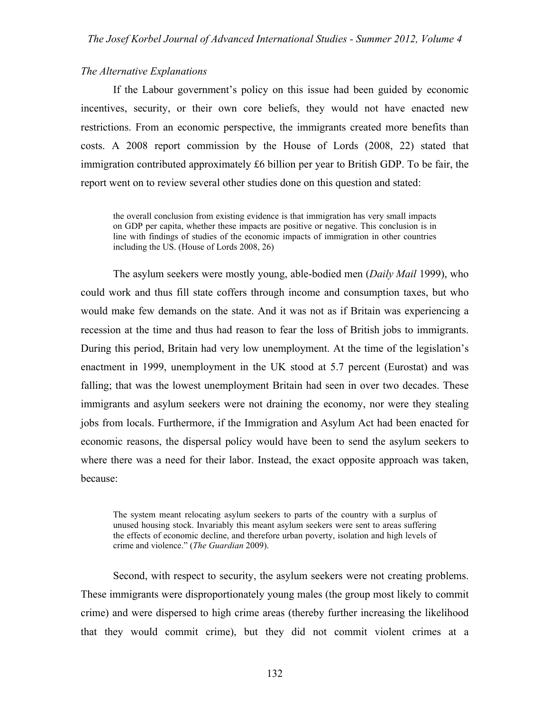#### *The Alternative Explanations*

If the Labour government's policy on this issue had been guided by economic incentives, security, or their own core beliefs, they would not have enacted new restrictions. From an economic perspective, the immigrants created more benefits than costs. A 2008 report commission by the House of Lords (2008, 22) stated that immigration contributed approximately £6 billion per year to British GDP. To be fair, the report went on to review several other studies done on this question and stated:

the overall conclusion from existing evidence is that immigration has very small impacts on GDP per capita, whether these impacts are positive or negative. This conclusion is in line with findings of studies of the economic impacts of immigration in other countries including the US. (House of Lords 2008, 26)

The asylum seekers were mostly young, able-bodied men (*Daily Mail* 1999), who could work and thus fill state coffers through income and consumption taxes, but who would make few demands on the state. And it was not as if Britain was experiencing a recession at the time and thus had reason to fear the loss of British jobs to immigrants. During this period, Britain had very low unemployment. At the time of the legislation's enactment in 1999, unemployment in the UK stood at 5.7 percent (Eurostat) and was falling; that was the lowest unemployment Britain had seen in over two decades. These immigrants and asylum seekers were not draining the economy, nor were they stealing jobs from locals. Furthermore, if the Immigration and Asylum Act had been enacted for economic reasons, the dispersal policy would have been to send the asylum seekers to where there was a need for their labor. Instead, the exact opposite approach was taken, because:

The system meant relocating asylum seekers to parts of the country with a surplus of unused housing stock. Invariably this meant asylum seekers were sent to areas suffering the effects of economic decline, and therefore urban poverty, isolation and high levels of crime and violence." (*The Guardian* 2009).

Second, with respect to security, the asylum seekers were not creating problems. These immigrants were disproportionately young males (the group most likely to commit crime) and were dispersed to high crime areas (thereby further increasing the likelihood that they would commit crime), but they did not commit violent crimes at a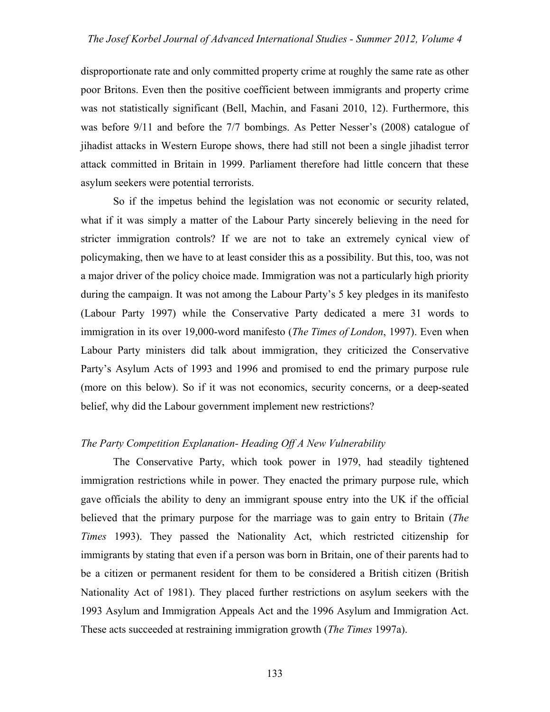disproportionate rate and only committed property crime at roughly the same rate as other poor Britons. Even then the positive coefficient between immigrants and property crime was not statistically significant (Bell, Machin, and Fasani 2010, 12). Furthermore, this was before 9/11 and before the 7/7 bombings. As Petter Nesser's (2008) catalogue of jihadist attacks in Western Europe shows, there had still not been a single jihadist terror attack committed in Britain in 1999. Parliament therefore had little concern that these asylum seekers were potential terrorists.

So if the impetus behind the legislation was not economic or security related, what if it was simply a matter of the Labour Party sincerely believing in the need for stricter immigration controls? If we are not to take an extremely cynical view of policymaking, then we have to at least consider this as a possibility. But this, too, was not a major driver of the policy choice made. Immigration was not a particularly high priority during the campaign. It was not among the Labour Party's 5 key pledges in its manifesto (Labour Party 1997) while the Conservative Party dedicated a mere 31 words to immigration in its over 19,000-word manifesto (*The Times of London*, 1997). Even when Labour Party ministers did talk about immigration, they criticized the Conservative Party's Asylum Acts of 1993 and 1996 and promised to end the primary purpose rule (more on this below). So if it was not economics, security concerns, or a deep-seated belief, why did the Labour government implement new restrictions?

#### *The Party Competition Explanation- Heading Off A New Vulnerability*

The Conservative Party, which took power in 1979, had steadily tightened immigration restrictions while in power. They enacted the primary purpose rule, which gave officials the ability to deny an immigrant spouse entry into the UK if the official believed that the primary purpose for the marriage was to gain entry to Britain (*The Times* 1993). They passed the Nationality Act, which restricted citizenship for immigrants by stating that even if a person was born in Britain, one of their parents had to be a citizen or permanent resident for them to be considered a British citizen (British Nationality Act of 1981). They placed further restrictions on asylum seekers with the 1993 Asylum and Immigration Appeals Act and the 1996 Asylum and Immigration Act. These acts succeeded at restraining immigration growth (*The Times* 1997a).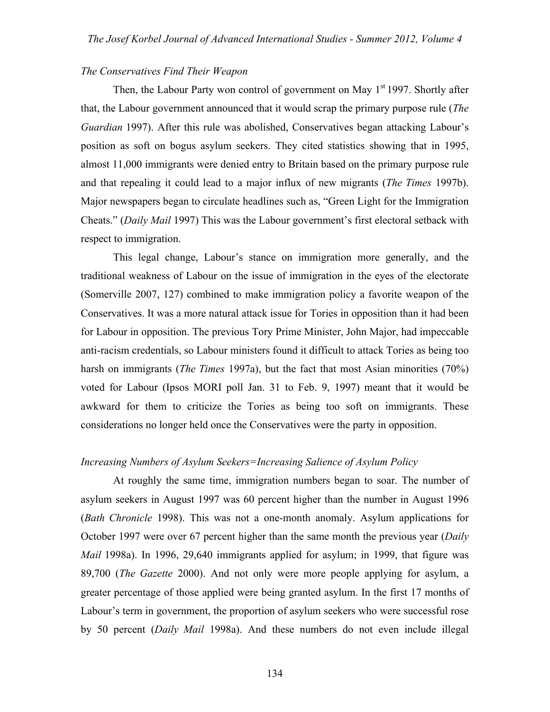#### *The Conservatives Find Their Weapon*

Then, the Labour Party won control of government on May  $1<sup>st</sup>$  1997. Shortly after that, the Labour government announced that it would scrap the primary purpose rule (*The Guardian* 1997). After this rule was abolished, Conservatives began attacking Labour's position as soft on bogus asylum seekers. They cited statistics showing that in 1995, almost 11,000 immigrants were denied entry to Britain based on the primary purpose rule and that repealing it could lead to a major influx of new migrants (*The Times* 1997b). Major newspapers began to circulate headlines such as, "Green Light for the Immigration Cheats." (*Daily Mail* 1997) This was the Labour government's first electoral setback with respect to immigration.

This legal change, Labour's stance on immigration more generally, and the traditional weakness of Labour on the issue of immigration in the eyes of the electorate (Somerville 2007, 127) combined to make immigration policy a favorite weapon of the Conservatives. It was a more natural attack issue for Tories in opposition than it had been for Labour in opposition. The previous Tory Prime Minister, John Major, had impeccable anti-racism credentials, so Labour ministers found it difficult to attack Tories as being too harsh on immigrants (*The Times* 1997a), but the fact that most Asian minorities (70%) voted for Labour (Ipsos MORI poll Jan. 31 to Feb. 9, 1997) meant that it would be awkward for them to criticize the Tories as being too soft on immigrants. These considerations no longer held once the Conservatives were the party in opposition.

#### *Increasing Numbers of Asylum Seekers=Increasing Salience of Asylum Policy*

At roughly the same time, immigration numbers began to soar. The number of asylum seekers in August 1997 was 60 percent higher than the number in August 1996 (*Bath Chronicle* 1998). This was not a one-month anomaly. Asylum applications for October 1997 were over 67 percent higher than the same month the previous year (*Daily Mail* 1998a). In 1996, 29,640 immigrants applied for asylum; in 1999, that figure was 89,700 (*The Gazette* 2000). And not only were more people applying for asylum, a greater percentage of those applied were being granted asylum. In the first 17 months of Labour's term in government, the proportion of asylum seekers who were successful rose by 50 percent (*Daily Mail* 1998a). And these numbers do not even include illegal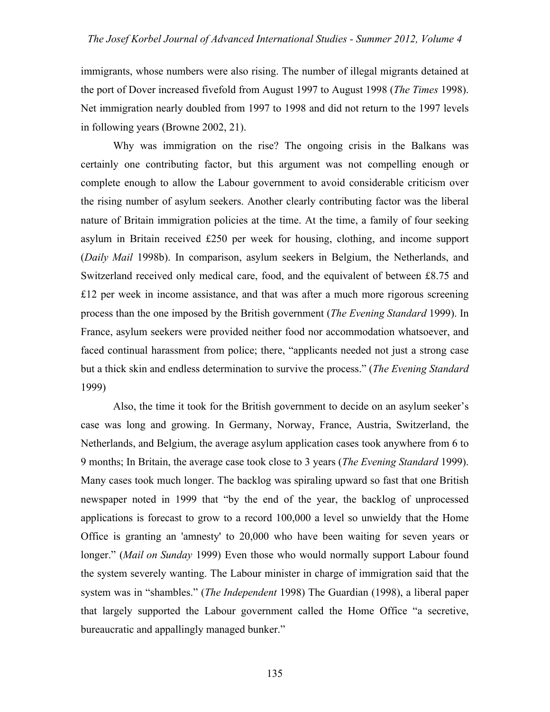immigrants, whose numbers were also rising. The number of illegal migrants detained at the port of Dover increased fivefold from August 1997 to August 1998 (*The Times* 1998). Net immigration nearly doubled from 1997 to 1998 and did not return to the 1997 levels in following years (Browne 2002, 21).

Why was immigration on the rise? The ongoing crisis in the Balkans was certainly one contributing factor, but this argument was not compelling enough or complete enough to allow the Labour government to avoid considerable criticism over the rising number of asylum seekers. Another clearly contributing factor was the liberal nature of Britain immigration policies at the time. At the time, a family of four seeking asylum in Britain received £250 per week for housing, clothing, and income support (*Daily Mail* 1998b). In comparison, asylum seekers in Belgium, the Netherlands, and Switzerland received only medical care, food, and the equivalent of between £8.75 and £12 per week in income assistance, and that was after a much more rigorous screening process than the one imposed by the British government (*The Evening Standard* 1999). In France, asylum seekers were provided neither food nor accommodation whatsoever, and faced continual harassment from police; there, "applicants needed not just a strong case but a thick skin and endless determination to survive the process." (*The Evening Standard* 1999)

Also, the time it took for the British government to decide on an asylum seeker's case was long and growing. In Germany, Norway, France, Austria, Switzerland, the Netherlands, and Belgium, the average asylum application cases took anywhere from 6 to 9 months; In Britain, the average case took close to 3 years (*The Evening Standard* 1999). Many cases took much longer. The backlog was spiraling upward so fast that one British newspaper noted in 1999 that "by the end of the year, the backlog of unprocessed applications is forecast to grow to a record 100,000 a level so unwieldy that the Home Office is granting an 'amnesty' to 20,000 who have been waiting for seven years or longer." (*Mail on Sunday* 1999) Even those who would normally support Labour found the system severely wanting. The Labour minister in charge of immigration said that the system was in "shambles." (*The Independent* 1998) The Guardian (1998), a liberal paper that largely supported the Labour government called the Home Office "a secretive, bureaucratic and appallingly managed bunker."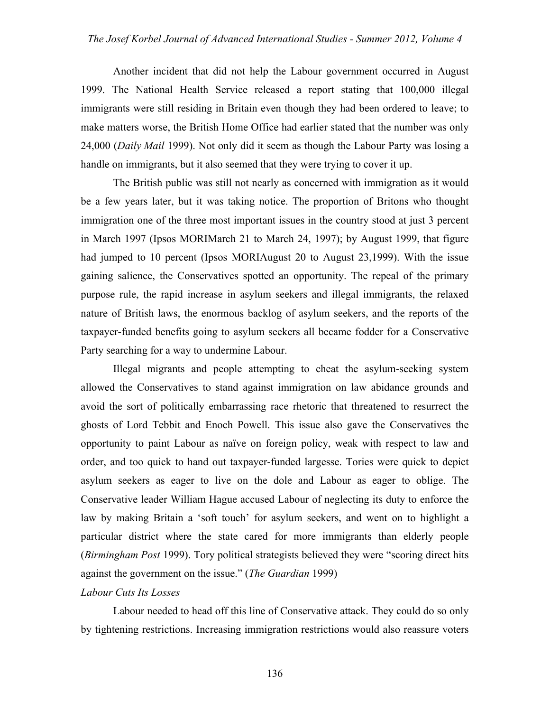Another incident that did not help the Labour government occurred in August 1999. The National Health Service released a report stating that 100,000 illegal immigrants were still residing in Britain even though they had been ordered to leave; to make matters worse, the British Home Office had earlier stated that the number was only 24,000 (*Daily Mail* 1999). Not only did it seem as though the Labour Party was losing a handle on immigrants, but it also seemed that they were trying to cover it up.

The British public was still not nearly as concerned with immigration as it would be a few years later, but it was taking notice. The proportion of Britons who thought immigration one of the three most important issues in the country stood at just 3 percent in March 1997 (Ipsos MORIMarch 21 to March 24, 1997); by August 1999, that figure had jumped to 10 percent (Ipsos MORIAugust 20 to August 23,1999). With the issue gaining salience, the Conservatives spotted an opportunity. The repeal of the primary purpose rule, the rapid increase in asylum seekers and illegal immigrants, the relaxed nature of British laws, the enormous backlog of asylum seekers, and the reports of the taxpayer-funded benefits going to asylum seekers all became fodder for a Conservative Party searching for a way to undermine Labour.

Illegal migrants and people attempting to cheat the asylum-seeking system allowed the Conservatives to stand against immigration on law abidance grounds and avoid the sort of politically embarrassing race rhetoric that threatened to resurrect the ghosts of Lord Tebbit and Enoch Powell. This issue also gave the Conservatives the opportunity to paint Labour as naïve on foreign policy, weak with respect to law and order, and too quick to hand out taxpayer-funded largesse. Tories were quick to depict asylum seekers as eager to live on the dole and Labour as eager to oblige. The Conservative leader William Hague accused Labour of neglecting its duty to enforce the law by making Britain a 'soft touch' for asylum seekers, and went on to highlight a particular district where the state cared for more immigrants than elderly people (*Birmingham Post* 1999). Tory political strategists believed they were "scoring direct hits against the government on the issue." (*The Guardian* 1999)

#### *Labour Cuts Its Losses*

Labour needed to head off this line of Conservative attack. They could do so only by tightening restrictions. Increasing immigration restrictions would also reassure voters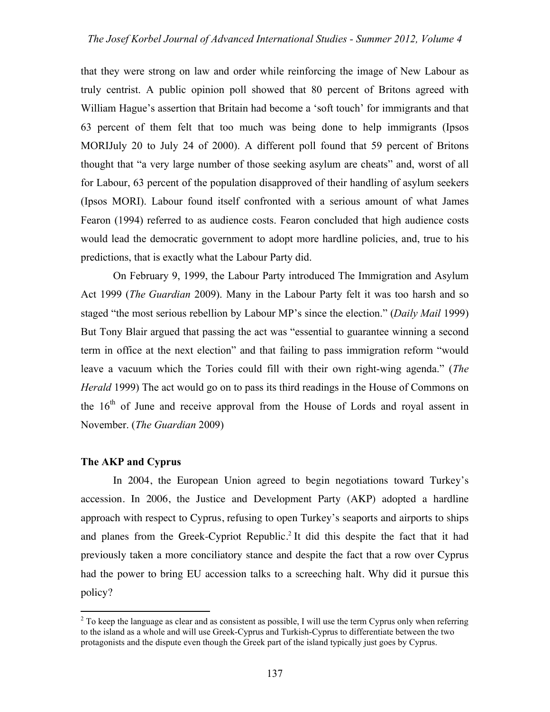that they were strong on law and order while reinforcing the image of New Labour as truly centrist. A public opinion poll showed that 80 percent of Britons agreed with William Hague's assertion that Britain had become a 'soft touch' for immigrants and that 63 percent of them felt that too much was being done to help immigrants (Ipsos MORIJuly 20 to July 24 of 2000). A different poll found that 59 percent of Britons thought that "a very large number of those seeking asylum are cheats" and, worst of all for Labour, 63 percent of the population disapproved of their handling of asylum seekers (Ipsos MORI). Labour found itself confronted with a serious amount of what James Fearon (1994) referred to as audience costs. Fearon concluded that high audience costs would lead the democratic government to adopt more hardline policies, and, true to his predictions, that is exactly what the Labour Party did.

On February 9, 1999, the Labour Party introduced The Immigration and Asylum Act 1999 (*The Guardian* 2009). Many in the Labour Party felt it was too harsh and so staged "the most serious rebellion by Labour MP's since the election." (*Daily Mail* 1999) But Tony Blair argued that passing the act was "essential to guarantee winning a second term in office at the next election" and that failing to pass immigration reform "would leave a vacuum which the Tories could fill with their own right-wing agenda." (*The Herald* 1999) The act would go on to pass its third readings in the House of Commons on the  $16<sup>th</sup>$  of June and receive approval from the House of Lords and royal assent in November. (*The Guardian* 2009)

#### **The AKP and Cyprus**

In 2004, the European Union agreed to begin negotiations toward Turkey's accession. In 2006, the Justice and Development Party (AKP) adopted a hardline approach with respect to Cyprus, refusing to open Turkey's seaports and airports to ships and planes from the Greek-Cypriot Republic.<sup>2</sup> It did this despite the fact that it had previously taken a more conciliatory stance and despite the fact that a row over Cyprus had the power to bring EU accession talks to a screeching halt. Why did it pursue this policy?

 $\frac{1}{2}$  $2$  To keep the language as clear and as consistent as possible, I will use the term Cyprus only when referring to the island as a whole and will use Greek-Cyprus and Turkish-Cyprus to differentiate between the two protagonists and the dispute even though the Greek part of the island typically just goes by Cyprus.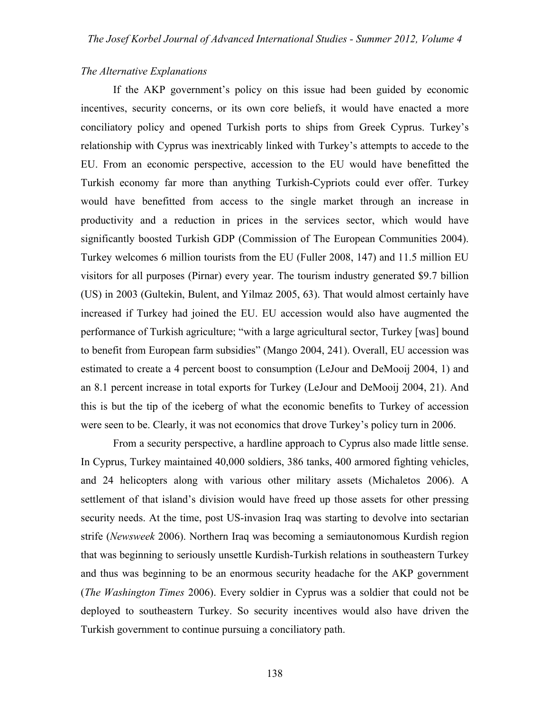#### *The Alternative Explanations*

If the AKP government's policy on this issue had been guided by economic incentives, security concerns, or its own core beliefs, it would have enacted a more conciliatory policy and opened Turkish ports to ships from Greek Cyprus. Turkey's relationship with Cyprus was inextricably linked with Turkey's attempts to accede to the EU. From an economic perspective, accession to the EU would have benefitted the Turkish economy far more than anything Turkish-Cypriots could ever offer. Turkey would have benefitted from access to the single market through an increase in productivity and a reduction in prices in the services sector, which would have significantly boosted Turkish GDP (Commission of The European Communities 2004). Turkey welcomes 6 million tourists from the EU (Fuller 2008, 147) and 11.5 million EU visitors for all purposes (Pirnar) every year. The tourism industry generated \$9.7 billion (US) in 2003 (Gultekin, Bulent, and Yilmaz 2005, 63). That would almost certainly have increased if Turkey had joined the EU. EU accession would also have augmented the performance of Turkish agriculture; "with a large agricultural sector, Turkey [was] bound to benefit from European farm subsidies" (Mango 2004, 241). Overall, EU accession was estimated to create a 4 percent boost to consumption (LeJour and DeMooij 2004, 1) and an 8.1 percent increase in total exports for Turkey (LeJour and DeMooij 2004, 21). And this is but the tip of the iceberg of what the economic benefits to Turkey of accession were seen to be. Clearly, it was not economics that drove Turkey's policy turn in 2006.

From a security perspective, a hardline approach to Cyprus also made little sense. In Cyprus, Turkey maintained 40,000 soldiers, 386 tanks, 400 armored fighting vehicles, and 24 helicopters along with various other military assets (Michaletos 2006). A settlement of that island's division would have freed up those assets for other pressing security needs. At the time, post US-invasion Iraq was starting to devolve into sectarian strife (*Newsweek* 2006). Northern Iraq was becoming a semiautonomous Kurdish region that was beginning to seriously unsettle Kurdish-Turkish relations in southeastern Turkey and thus was beginning to be an enormous security headache for the AKP government (*The Washington Times* 2006). Every soldier in Cyprus was a soldier that could not be deployed to southeastern Turkey. So security incentives would also have driven the Turkish government to continue pursuing a conciliatory path.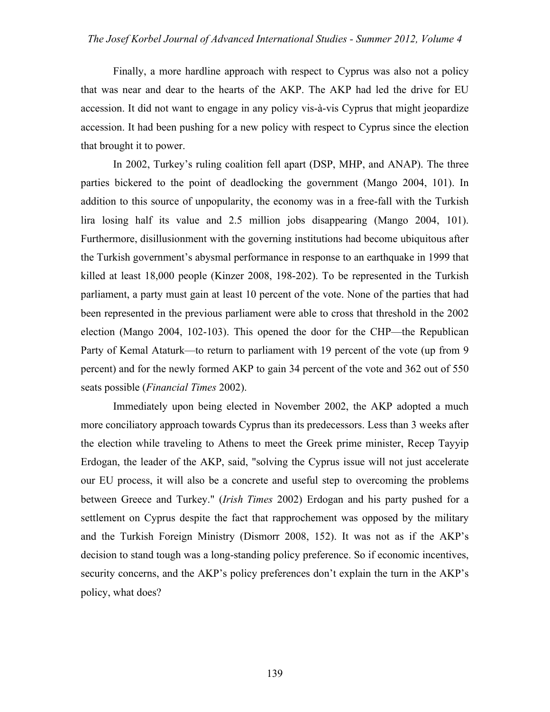Finally, a more hardline approach with respect to Cyprus was also not a policy that was near and dear to the hearts of the AKP. The AKP had led the drive for EU accession. It did not want to engage in any policy vis-à-vis Cyprus that might jeopardize accession. It had been pushing for a new policy with respect to Cyprus since the election that brought it to power.

In 2002, Turkey's ruling coalition fell apart (DSP, MHP, and ANAP). The three parties bickered to the point of deadlocking the government (Mango 2004, 101). In addition to this source of unpopularity, the economy was in a free-fall with the Turkish lira losing half its value and 2.5 million jobs disappearing (Mango 2004, 101). Furthermore, disillusionment with the governing institutions had become ubiquitous after the Turkish government's abysmal performance in response to an earthquake in 1999 that killed at least 18,000 people (Kinzer 2008, 198-202). To be represented in the Turkish parliament, a party must gain at least 10 percent of the vote. None of the parties that had been represented in the previous parliament were able to cross that threshold in the 2002 election (Mango 2004, 102-103). This opened the door for the CHP—the Republican Party of Kemal Ataturk—to return to parliament with 19 percent of the vote (up from 9 percent) and for the newly formed AKP to gain 34 percent of the vote and 362 out of 550 seats possible (*Financial Times* 2002).

Immediately upon being elected in November 2002, the AKP adopted a much more conciliatory approach towards Cyprus than its predecessors. Less than 3 weeks after the election while traveling to Athens to meet the Greek prime minister, Recep Tayyip Erdogan, the leader of the AKP, said, "solving the Cyprus issue will not just accelerate our EU process, it will also be a concrete and useful step to overcoming the problems between Greece and Turkey." (*Irish Times* 2002) Erdogan and his party pushed for a settlement on Cyprus despite the fact that rapprochement was opposed by the military and the Turkish Foreign Ministry (Dismorr 2008, 152). It was not as if the AKP's decision to stand tough was a long-standing policy preference. So if economic incentives, security concerns, and the AKP's policy preferences don't explain the turn in the AKP's policy, what does?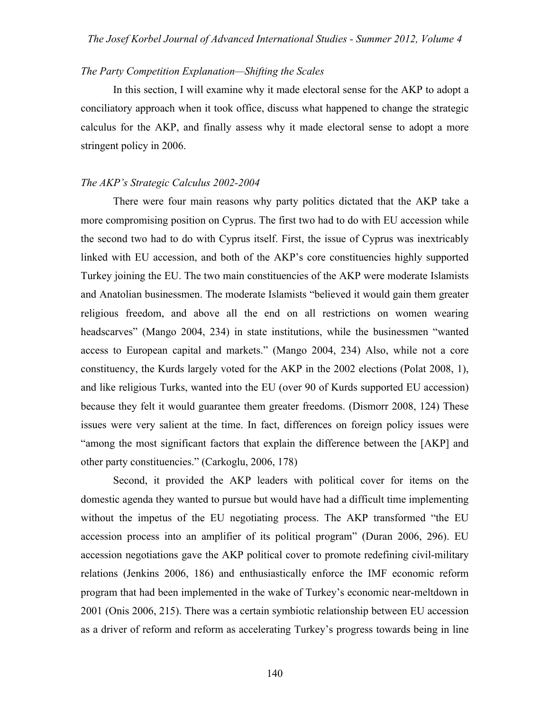#### *The Party Competition Explanation—Shifting the Scales*

In this section, I will examine why it made electoral sense for the AKP to adopt a conciliatory approach when it took office, discuss what happened to change the strategic calculus for the AKP, and finally assess why it made electoral sense to adopt a more stringent policy in 2006.

#### *The AKP's Strategic Calculus 2002-2004*

There were four main reasons why party politics dictated that the AKP take a more compromising position on Cyprus. The first two had to do with EU accession while the second two had to do with Cyprus itself. First, the issue of Cyprus was inextricably linked with EU accession, and both of the AKP's core constituencies highly supported Turkey joining the EU. The two main constituencies of the AKP were moderate Islamists and Anatolian businessmen. The moderate Islamists "believed it would gain them greater religious freedom, and above all the end on all restrictions on women wearing headscarves" (Mango 2004, 234) in state institutions, while the businessmen "wanted access to European capital and markets." (Mango 2004, 234) Also, while not a core constituency, the Kurds largely voted for the AKP in the 2002 elections (Polat 2008, 1), and like religious Turks, wanted into the EU (over 90 of Kurds supported EU accession) because they felt it would guarantee them greater freedoms. (Dismorr 2008, 124) These issues were very salient at the time. In fact, differences on foreign policy issues were "among the most significant factors that explain the difference between the [AKP] and other party constituencies." (Carkoglu, 2006, 178)

Second, it provided the AKP leaders with political cover for items on the domestic agenda they wanted to pursue but would have had a difficult time implementing without the impetus of the EU negotiating process. The AKP transformed "the EU accession process into an amplifier of its political program" (Duran 2006, 296). EU accession negotiations gave the AKP political cover to promote redefining civil-military relations (Jenkins 2006, 186) and enthusiastically enforce the IMF economic reform program that had been implemented in the wake of Turkey's economic near-meltdown in 2001 (Onis 2006, 215). There was a certain symbiotic relationship between EU accession as a driver of reform and reform as accelerating Turkey's progress towards being in line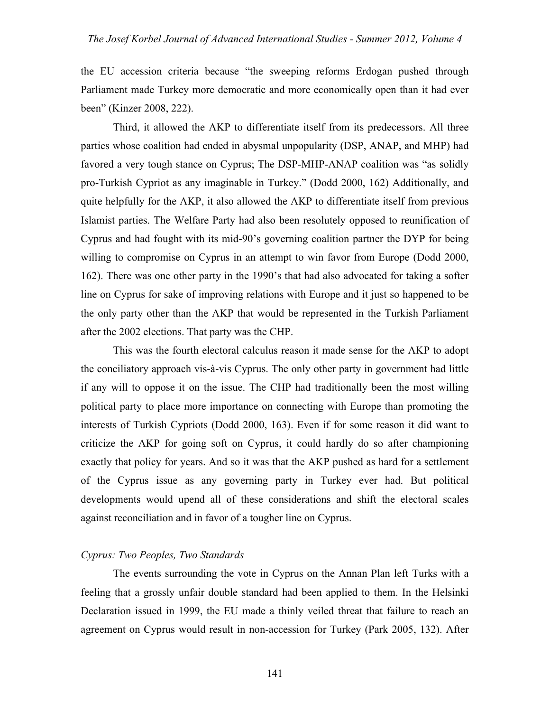the EU accession criteria because "the sweeping reforms Erdogan pushed through Parliament made Turkey more democratic and more economically open than it had ever been" (Kinzer 2008, 222).

Third, it allowed the AKP to differentiate itself from its predecessors. All three parties whose coalition had ended in abysmal unpopularity (DSP, ANAP, and MHP) had favored a very tough stance on Cyprus; The DSP-MHP-ANAP coalition was "as solidly pro-Turkish Cypriot as any imaginable in Turkey." (Dodd 2000, 162) Additionally, and quite helpfully for the AKP, it also allowed the AKP to differentiate itself from previous Islamist parties. The Welfare Party had also been resolutely opposed to reunification of Cyprus and had fought with its mid-90's governing coalition partner the DYP for being willing to compromise on Cyprus in an attempt to win favor from Europe (Dodd 2000, 162). There was one other party in the 1990's that had also advocated for taking a softer line on Cyprus for sake of improving relations with Europe and it just so happened to be the only party other than the AKP that would be represented in the Turkish Parliament after the 2002 elections. That party was the CHP.

This was the fourth electoral calculus reason it made sense for the AKP to adopt the conciliatory approach vis-à-vis Cyprus. The only other party in government had little if any will to oppose it on the issue. The CHP had traditionally been the most willing political party to place more importance on connecting with Europe than promoting the interests of Turkish Cypriots (Dodd 2000, 163). Even if for some reason it did want to criticize the AKP for going soft on Cyprus, it could hardly do so after championing exactly that policy for years. And so it was that the AKP pushed as hard for a settlement of the Cyprus issue as any governing party in Turkey ever had. But political developments would upend all of these considerations and shift the electoral scales against reconciliation and in favor of a tougher line on Cyprus.

#### *Cyprus: Two Peoples, Two Standards*

The events surrounding the vote in Cyprus on the Annan Plan left Turks with a feeling that a grossly unfair double standard had been applied to them. In the Helsinki Declaration issued in 1999, the EU made a thinly veiled threat that failure to reach an agreement on Cyprus would result in non-accession for Turkey (Park 2005, 132). After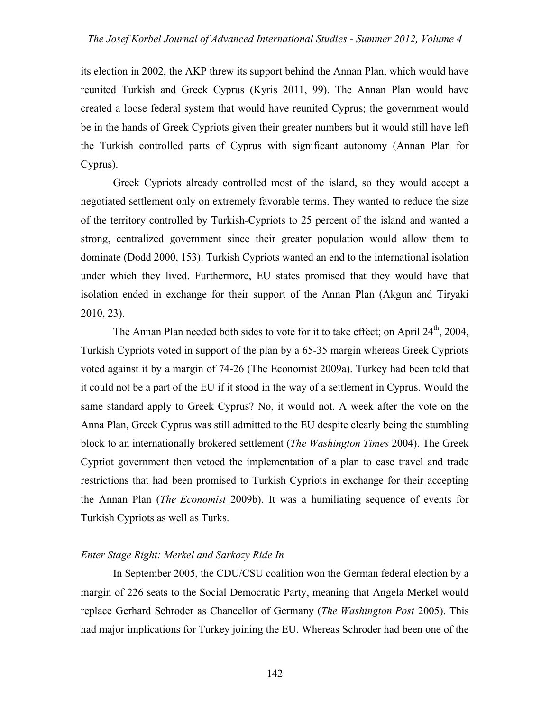its election in 2002, the AKP threw its support behind the Annan Plan, which would have reunited Turkish and Greek Cyprus (Kyris 2011, 99). The Annan Plan would have created a loose federal system that would have reunited Cyprus; the government would be in the hands of Greek Cypriots given their greater numbers but it would still have left the Turkish controlled parts of Cyprus with significant autonomy (Annan Plan for Cyprus).

Greek Cypriots already controlled most of the island, so they would accept a negotiated settlement only on extremely favorable terms. They wanted to reduce the size of the territory controlled by Turkish-Cypriots to 25 percent of the island and wanted a strong, centralized government since their greater population would allow them to dominate (Dodd 2000, 153). Turkish Cypriots wanted an end to the international isolation under which they lived. Furthermore, EU states promised that they would have that isolation ended in exchange for their support of the Annan Plan (Akgun and Tiryaki 2010, 23).

The Annan Plan needed both sides to vote for it to take effect; on April 24<sup>th</sup>, 2004, Turkish Cypriots voted in support of the plan by a 65-35 margin whereas Greek Cypriots voted against it by a margin of 74-26 (The Economist 2009a). Turkey had been told that it could not be a part of the EU if it stood in the way of a settlement in Cyprus. Would the same standard apply to Greek Cyprus? No, it would not. A week after the vote on the Anna Plan, Greek Cyprus was still admitted to the EU despite clearly being the stumbling block to an internationally brokered settlement (*The Washington Times* 2004). The Greek Cypriot government then vetoed the implementation of a plan to ease travel and trade restrictions that had been promised to Turkish Cypriots in exchange for their accepting the Annan Plan (*The Economist* 2009b). It was a humiliating sequence of events for Turkish Cypriots as well as Turks.

#### *Enter Stage Right: Merkel and Sarkozy Ride In*

In September 2005, the CDU/CSU coalition won the German federal election by a margin of 226 seats to the Social Democratic Party, meaning that Angela Merkel would replace Gerhard Schroder as Chancellor of Germany (*The Washington Post* 2005). This had major implications for Turkey joining the EU. Whereas Schroder had been one of the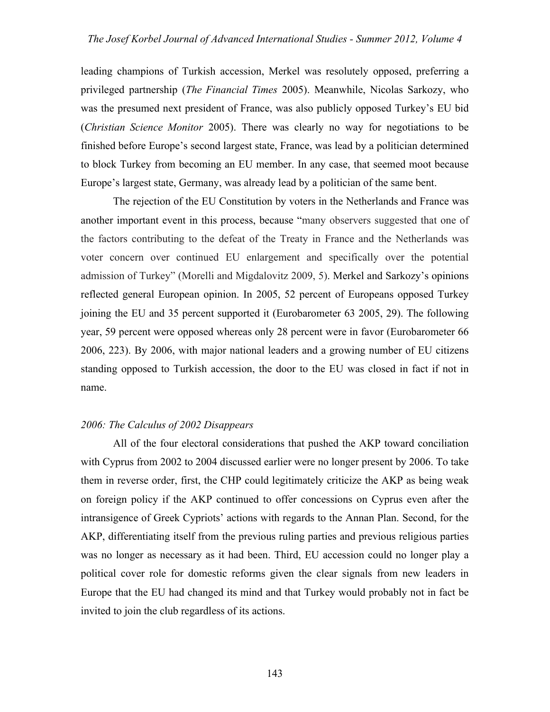leading champions of Turkish accession, Merkel was resolutely opposed, preferring a privileged partnership (*The Financial Times* 2005). Meanwhile, Nicolas Sarkozy, who was the presumed next president of France, was also publicly opposed Turkey's EU bid (*Christian Science Monitor* 2005). There was clearly no way for negotiations to be finished before Europe's second largest state, France, was lead by a politician determined to block Turkey from becoming an EU member. In any case, that seemed moot because Europe's largest state, Germany, was already lead by a politician of the same bent.

The rejection of the EU Constitution by voters in the Netherlands and France was another important event in this process, because "many observers suggested that one of the factors contributing to the defeat of the Treaty in France and the Netherlands was voter concern over continued EU enlargement and specifically over the potential admission of Turkey" (Morelli and Migdalovitz 2009, 5). Merkel and Sarkozy's opinions reflected general European opinion. In 2005, 52 percent of Europeans opposed Turkey joining the EU and 35 percent supported it (Eurobarometer 63 2005, 29). The following year, 59 percent were opposed whereas only 28 percent were in favor (Eurobarometer 66 2006, 223). By 2006, with major national leaders and a growing number of EU citizens standing opposed to Turkish accession, the door to the EU was closed in fact if not in name.

#### *2006: The Calculus of 2002 Disappears*

All of the four electoral considerations that pushed the AKP toward conciliation with Cyprus from 2002 to 2004 discussed earlier were no longer present by 2006. To take them in reverse order, first, the CHP could legitimately criticize the AKP as being weak on foreign policy if the AKP continued to offer concessions on Cyprus even after the intransigence of Greek Cypriots' actions with regards to the Annan Plan. Second, for the AKP, differentiating itself from the previous ruling parties and previous religious parties was no longer as necessary as it had been. Third, EU accession could no longer play a political cover role for domestic reforms given the clear signals from new leaders in Europe that the EU had changed its mind and that Turkey would probably not in fact be invited to join the club regardless of its actions.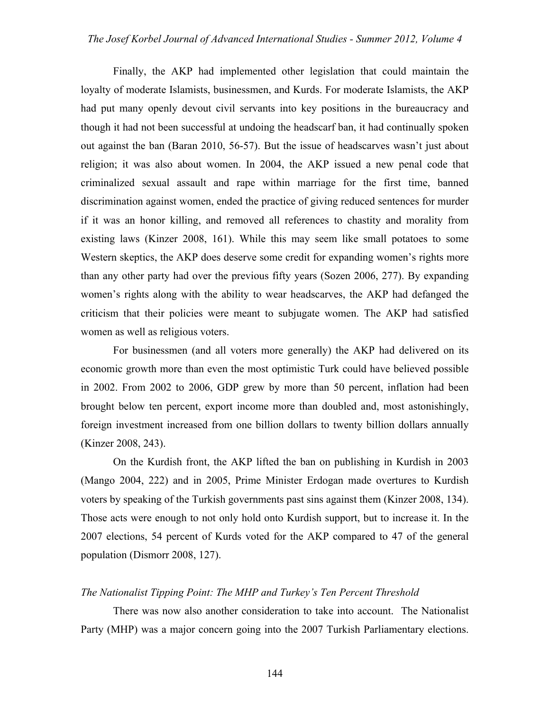Finally, the AKP had implemented other legislation that could maintain the loyalty of moderate Islamists, businessmen, and Kurds. For moderate Islamists, the AKP had put many openly devout civil servants into key positions in the bureaucracy and though it had not been successful at undoing the headscarf ban, it had continually spoken out against the ban (Baran 2010, 56-57). But the issue of headscarves wasn't just about religion; it was also about women. In 2004, the AKP issued a new penal code that criminalized sexual assault and rape within marriage for the first time, banned discrimination against women, ended the practice of giving reduced sentences for murder if it was an honor killing, and removed all references to chastity and morality from existing laws (Kinzer 2008, 161). While this may seem like small potatoes to some Western skeptics, the AKP does deserve some credit for expanding women's rights more than any other party had over the previous fifty years (Sozen 2006, 277). By expanding women's rights along with the ability to wear headscarves, the AKP had defanged the criticism that their policies were meant to subjugate women. The AKP had satisfied women as well as religious voters.

For businessmen (and all voters more generally) the AKP had delivered on its economic growth more than even the most optimistic Turk could have believed possible in 2002. From 2002 to 2006, GDP grew by more than 50 percent, inflation had been brought below ten percent, export income more than doubled and, most astonishingly, foreign investment increased from one billion dollars to twenty billion dollars annually (Kinzer 2008, 243).

On the Kurdish front, the AKP lifted the ban on publishing in Kurdish in 2003 (Mango 2004, 222) and in 2005, Prime Minister Erdogan made overtures to Kurdish voters by speaking of the Turkish governments past sins against them (Kinzer 2008, 134). Those acts were enough to not only hold onto Kurdish support, but to increase it. In the 2007 elections, 54 percent of Kurds voted for the AKP compared to 47 of the general population (Dismorr 2008, 127).

#### *The Nationalist Tipping Point: The MHP and Turkey's Ten Percent Threshold*

There was now also another consideration to take into account. The Nationalist Party (MHP) was a major concern going into the 2007 Turkish Parliamentary elections.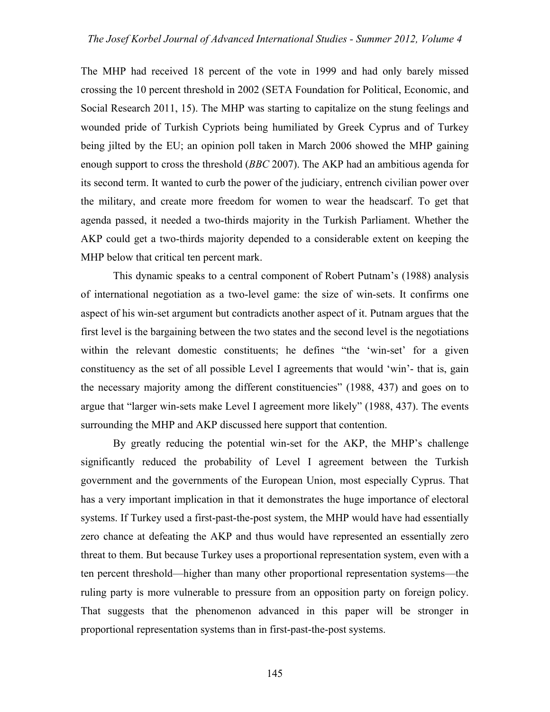The MHP had received 18 percent of the vote in 1999 and had only barely missed crossing the 10 percent threshold in 2002 (SETA Foundation for Political, Economic, and Social Research 2011, 15). The MHP was starting to capitalize on the stung feelings and wounded pride of Turkish Cypriots being humiliated by Greek Cyprus and of Turkey being jilted by the EU; an opinion poll taken in March 2006 showed the MHP gaining enough support to cross the threshold (*BBC* 2007). The AKP had an ambitious agenda for its second term. It wanted to curb the power of the judiciary, entrench civilian power over the military, and create more freedom for women to wear the headscarf. To get that agenda passed, it needed a two-thirds majority in the Turkish Parliament. Whether the AKP could get a two-thirds majority depended to a considerable extent on keeping the MHP below that critical ten percent mark.

This dynamic speaks to a central component of Robert Putnam's (1988) analysis of international negotiation as a two-level game: the size of win-sets. It confirms one aspect of his win-set argument but contradicts another aspect of it. Putnam argues that the first level is the bargaining between the two states and the second level is the negotiations within the relevant domestic constituents; he defines "the 'win-set' for a given constituency as the set of all possible Level I agreements that would 'win'- that is, gain the necessary majority among the different constituencies" (1988, 437) and goes on to argue that "larger win-sets make Level I agreement more likely" (1988, 437). The events surrounding the MHP and AKP discussed here support that contention.

By greatly reducing the potential win-set for the AKP, the MHP's challenge significantly reduced the probability of Level I agreement between the Turkish government and the governments of the European Union, most especially Cyprus. That has a very important implication in that it demonstrates the huge importance of electoral systems. If Turkey used a first-past-the-post system, the MHP would have had essentially zero chance at defeating the AKP and thus would have represented an essentially zero threat to them. But because Turkey uses a proportional representation system, even with a ten percent threshold—higher than many other proportional representation systems—the ruling party is more vulnerable to pressure from an opposition party on foreign policy. That suggests that the phenomenon advanced in this paper will be stronger in proportional representation systems than in first-past-the-post systems.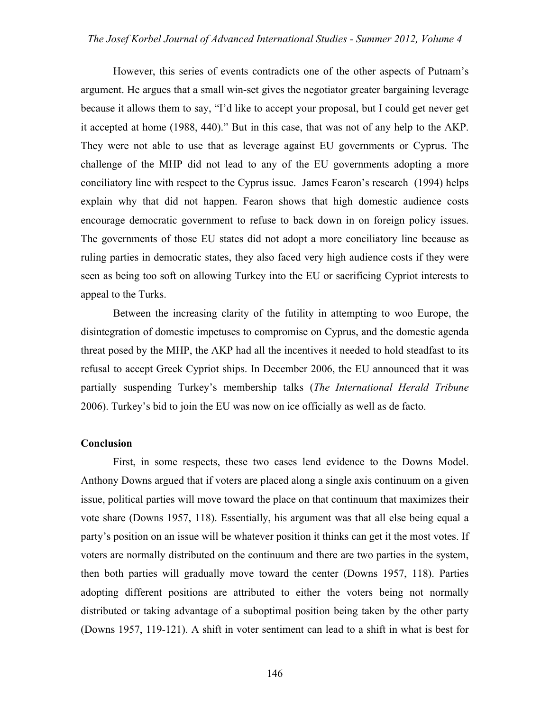#### *The Josef Korbel Journal of Advanced International Studies - Summer 2012, Volume 4*

However, this series of events contradicts one of the other aspects of Putnam's argument. He argues that a small win-set gives the negotiator greater bargaining leverage because it allows them to say, "I'd like to accept your proposal, but I could get never get it accepted at home (1988, 440)." But in this case, that was not of any help to the AKP. They were not able to use that as leverage against EU governments or Cyprus. The challenge of the MHP did not lead to any of the EU governments adopting a more conciliatory line with respect to the Cyprus issue. James Fearon's research (1994) helps explain why that did not happen. Fearon shows that high domestic audience costs encourage democratic government to refuse to back down in on foreign policy issues. The governments of those EU states did not adopt a more conciliatory line because as ruling parties in democratic states, they also faced very high audience costs if they were seen as being too soft on allowing Turkey into the EU or sacrificing Cypriot interests to appeal to the Turks.

Between the increasing clarity of the futility in attempting to woo Europe, the disintegration of domestic impetuses to compromise on Cyprus, and the domestic agenda threat posed by the MHP, the AKP had all the incentives it needed to hold steadfast to its refusal to accept Greek Cypriot ships. In December 2006, the EU announced that it was partially suspending Turkey's membership talks (*The International Herald Tribune* 2006). Turkey's bid to join the EU was now on ice officially as well as de facto.

#### **Conclusion**

First, in some respects, these two cases lend evidence to the Downs Model. Anthony Downs argued that if voters are placed along a single axis continuum on a given issue, political parties will move toward the place on that continuum that maximizes their vote share (Downs 1957, 118). Essentially, his argument was that all else being equal a party's position on an issue will be whatever position it thinks can get it the most votes. If voters are normally distributed on the continuum and there are two parties in the system, then both parties will gradually move toward the center (Downs 1957, 118). Parties adopting different positions are attributed to either the voters being not normally distributed or taking advantage of a suboptimal position being taken by the other party (Downs 1957, 119-121). A shift in voter sentiment can lead to a shift in what is best for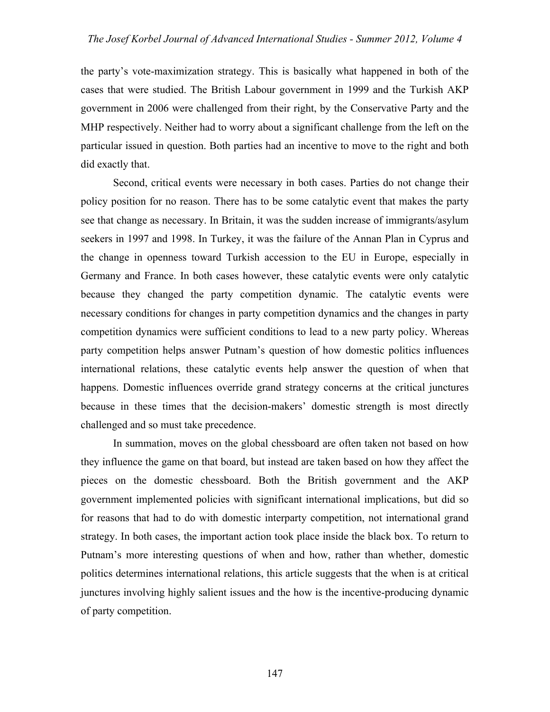the party's vote-maximization strategy. This is basically what happened in both of the cases that were studied. The British Labour government in 1999 and the Turkish AKP government in 2006 were challenged from their right, by the Conservative Party and the MHP respectively. Neither had to worry about a significant challenge from the left on the particular issued in question. Both parties had an incentive to move to the right and both did exactly that.

Second, critical events were necessary in both cases. Parties do not change their policy position for no reason. There has to be some catalytic event that makes the party see that change as necessary. In Britain, it was the sudden increase of immigrants/asylum seekers in 1997 and 1998. In Turkey, it was the failure of the Annan Plan in Cyprus and the change in openness toward Turkish accession to the EU in Europe, especially in Germany and France. In both cases however, these catalytic events were only catalytic because they changed the party competition dynamic. The catalytic events were necessary conditions for changes in party competition dynamics and the changes in party competition dynamics were sufficient conditions to lead to a new party policy. Whereas party competition helps answer Putnam's question of how domestic politics influences international relations, these catalytic events help answer the question of when that happens. Domestic influences override grand strategy concerns at the critical junctures because in these times that the decision-makers' domestic strength is most directly challenged and so must take precedence.

In summation, moves on the global chessboard are often taken not based on how they influence the game on that board, but instead are taken based on how they affect the pieces on the domestic chessboard. Both the British government and the AKP government implemented policies with significant international implications, but did so for reasons that had to do with domestic interparty competition, not international grand strategy. In both cases, the important action took place inside the black box. To return to Putnam's more interesting questions of when and how, rather than whether, domestic politics determines international relations, this article suggests that the when is at critical junctures involving highly salient issues and the how is the incentive-producing dynamic of party competition.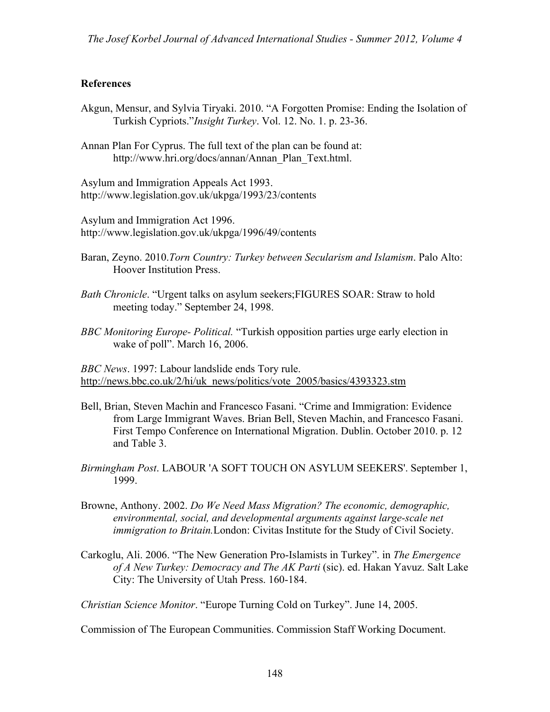### **References**

- Akgun, Mensur, and Sylvia Tiryaki. 2010. "A Forgotten Promise: Ending the Isolation of Turkish Cypriots."*Insight Turkey*. Vol. 12. No. 1. p. 23-36.
- Annan Plan For Cyprus. The full text of the plan can be found at: http://www.hri.org/docs/annan/Annan\_Plan\_Text.html.

Asylum and Immigration Appeals Act 1993. http://www.legislation.gov.uk/ukpga/1993/23/contents

Asylum and Immigration Act 1996. http://www.legislation.gov.uk/ukpga/1996/49/contents

- Baran, Zeyno. 2010.*Torn Country: Turkey between Secularism and Islamism*. Palo Alto: Hoover Institution Press.
- *Bath Chronicle*. "Urgent talks on asylum seekers;FIGURES SOAR: Straw to hold meeting today." September 24, 1998.
- *BBC Monitoring Europe- Political.* "Turkish opposition parties urge early election in wake of poll". March 16, 2006.

*BBC News*. 1997: Labour landslide ends Tory rule. http://news.bbc.co.uk/2/hi/uk\_news/politics/vote\_2005/basics/4393323.stm

- Bell, Brian, Steven Machin and Francesco Fasani. "Crime and Immigration: Evidence from Large Immigrant Waves. Brian Bell, Steven Machin, and Francesco Fasani. First Tempo Conference on International Migration. Dublin. October 2010. p. 12 and Table 3.
- *Birmingham Post*. LABOUR 'A SOFT TOUCH ON ASYLUM SEEKERS'. September 1, 1999.
- Browne, Anthony. 2002. *Do We Need Mass Migration? The economic, demographic, environmental, social, and developmental arguments against large-scale net immigration to Britain.*London: Civitas Institute for the Study of Civil Society.
- Carkoglu, Ali. 2006. "The New Generation Pro-Islamists in Turkey". in *The Emergence of A New Turkey: Democracy and The AK Parti* (sic). ed. Hakan Yavuz. Salt Lake City: The University of Utah Press. 160-184.

*Christian Science Monitor*. "Europe Turning Cold on Turkey". June 14, 2005.

Commission of The European Communities. Commission Staff Working Document.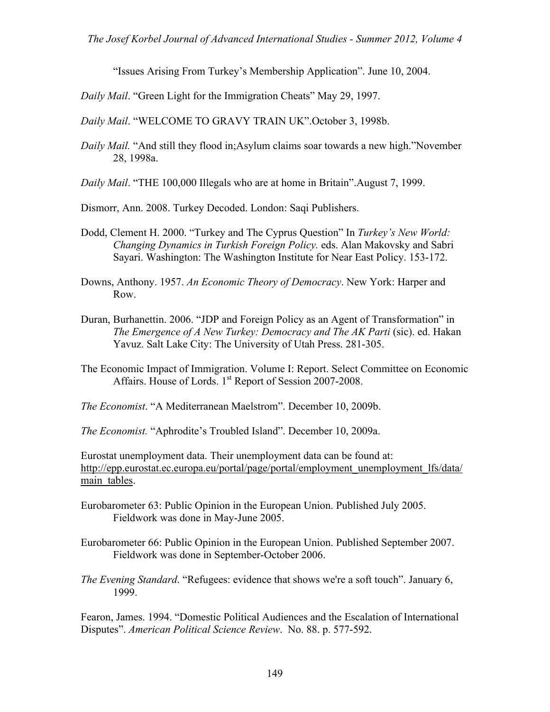*The Josef Korbel Journal of Advanced International Studies - Summer 2012, Volume 4*

"Issues Arising From Turkey's Membership Application". June 10, 2004.

*Daily Mail*. "Green Light for the Immigration Cheats" May 29, 1997.

*Daily Mail*. "WELCOME TO GRAVY TRAIN UK".October 3, 1998b.

- *Daily Mail.* "And still they flood in;Asylum claims soar towards a new high."November 28, 1998a.
- *Daily Mail*. "THE 100,000 Illegals who are at home in Britain".August 7, 1999.

Dismorr, Ann. 2008. Turkey Decoded. London: Saqi Publishers.

- Dodd, Clement H. 2000. "Turkey and The Cyprus Question" In *Turkey's New World: Changing Dynamics in Turkish Foreign Policy.* eds. Alan Makovsky and Sabri Sayari. Washington: The Washington Institute for Near East Policy. 153-172.
- Downs, Anthony. 1957. *An Economic Theory of Democracy*. New York: Harper and Row.
- Duran, Burhanettin. 2006. "JDP and Foreign Policy as an Agent of Transformation" in *The Emergence of A New Turkey: Democracy and The AK Parti* (sic). ed. Hakan Yavuz. Salt Lake City: The University of Utah Press. 281-305.
- The Economic Impact of Immigration. Volume I: Report. Select Committee on Economic Affairs. House of Lords. 1<sup>st</sup> Report of Session 2007-2008.

*The Economist*. "A Mediterranean Maelstrom". December 10, 2009b.

*The Economist.* "Aphrodite's Troubled Island". December 10, 2009a.

Eurostat unemployment data. Their unemployment data can be found at: http://epp.eurostat.ec.europa.eu/portal/page/portal/employment\_unemployment\_lfs/data/ main tables.

- Eurobarometer 63: Public Opinion in the European Union. Published July 2005. Fieldwork was done in May-June 2005.
- Eurobarometer 66: Public Opinion in the European Union. Published September 2007. Fieldwork was done in September-October 2006.
- *The Evening Standard*. "Refugees: evidence that shows we're a soft touch". January 6, 1999.

Fearon, James. 1994. "Domestic Political Audiences and the Escalation of International Disputes". *American Political Science Review*. No. 88. p. 577-592.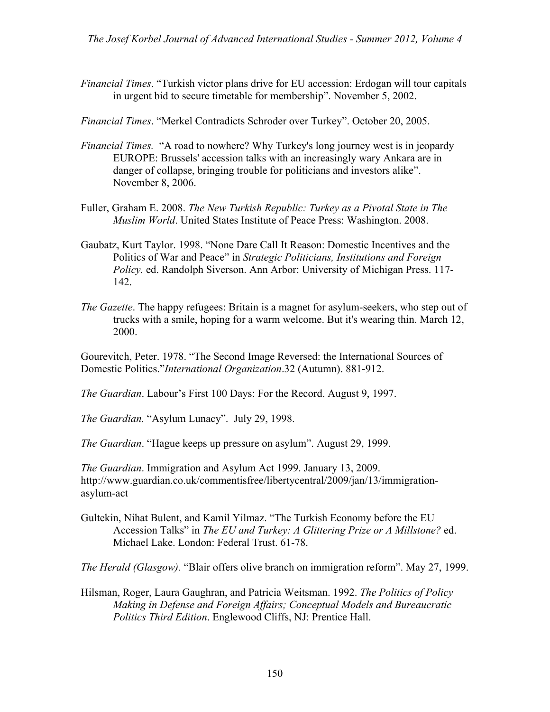- *Financial Times*. "Turkish victor plans drive for EU accession: Erdogan will tour capitals in urgent bid to secure timetable for membership". November 5, 2002.
- *Financial Times*. "Merkel Contradicts Schroder over Turkey". October 20, 2005.
- *Financial Times.* "A road to nowhere? Why Turkey's long journey west is in jeopardy EUROPE: Brussels' accession talks with an increasingly wary Ankara are in danger of collapse, bringing trouble for politicians and investors alike". November 8, 2006.
- Fuller, Graham E. 2008. *The New Turkish Republic: Turkey as a Pivotal State in The Muslim World*. United States Institute of Peace Press: Washington. 2008.
- Gaubatz, Kurt Taylor. 1998. "None Dare Call It Reason: Domestic Incentives and the Politics of War and Peace" in *Strategic Politicians, Institutions and Foreign Policy.* ed. Randolph Siverson. Ann Arbor: University of Michigan Press. 117- 142.
- *The Gazette*. The happy refugees: Britain is a magnet for asylum-seekers, who step out of trucks with a smile, hoping for a warm welcome. But it's wearing thin. March 12, 2000.

Gourevitch, Peter. 1978. "The Second Image Reversed: the International Sources of Domestic Politics."*International Organization*.32 (Autumn). 881-912.

*The Guardian*. Labour's First 100 Days: For the Record. August 9, 1997.

*The Guardian.* "Asylum Lunacy". July 29, 1998.

*The Guardian*. "Hague keeps up pressure on asylum". August 29, 1999.

*The Guardian*. Immigration and Asylum Act 1999. January 13, 2009. http://www.guardian.co.uk/commentisfree/libertycentral/2009/jan/13/immigrationasylum-act

Gultekin, Nihat Bulent, and Kamil Yilmaz. "The Turkish Economy before the EU Accession Talks" in *The EU and Turkey: A Glittering Prize or A Millstone?* ed. Michael Lake. London: Federal Trust. 61-78.

*The Herald (Glasgow).* "Blair offers olive branch on immigration reform". May 27, 1999.

Hilsman, Roger, Laura Gaughran, and Patricia Weitsman. 1992. *The Politics of Policy Making in Defense and Foreign Affairs; Conceptual Models and Bureaucratic Politics Third Edition*. Englewood Cliffs, NJ: Prentice Hall.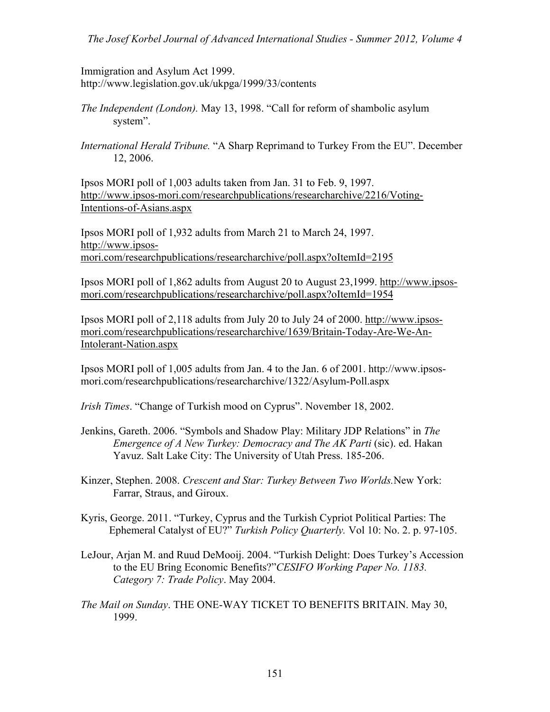Immigration and Asylum Act 1999. http://www.legislation.gov.uk/ukpga/1999/33/contents

- *The Independent (London).* May 13, 1998. "Call for reform of shambolic asylum system".
- *International Herald Tribune.* "A Sharp Reprimand to Turkey From the EU". December 12, 2006.

Ipsos MORI poll of 1,003 adults taken from Jan. 31 to Feb. 9, 1997. http://www.ipsos-mori.com/researchpublications/researcharchive/2216/Voting-Intentions-of-Asians.aspx

Ipsos MORI poll of 1,932 adults from March 21 to March 24, 1997. http://www.ipsosmori.com/researchpublications/researcharchive/poll.aspx?oItemId=2195

Ipsos MORI poll of 1,862 adults from August 20 to August 23,1999. http://www.ipsosmori.com/researchpublications/researcharchive/poll.aspx?oItemId=1954

Ipsos MORI poll of 2,118 adults from July 20 to July 24 of 2000. http://www.ipsosmori.com/researchpublications/researcharchive/1639/Britain-Today-Are-We-An-Intolerant-Nation.aspx

Ipsos MORI poll of 1,005 adults from Jan. 4 to the Jan. 6 of 2001. http://www.ipsosmori.com/researchpublications/researcharchive/1322/Asylum-Poll.aspx

*Irish Times*. "Change of Turkish mood on Cyprus". November 18, 2002.

- Jenkins, Gareth. 2006. "Symbols and Shadow Play: Military JDP Relations" in *The Emergence of A New Turkey: Democracy and The AK Parti* (sic). ed. Hakan Yavuz. Salt Lake City: The University of Utah Press. 185-206.
- Kinzer, Stephen. 2008. *Crescent and Star: Turkey Between Two Worlds.*New York: Farrar, Straus, and Giroux.
- Kyris, George. 2011. "Turkey, Cyprus and the Turkish Cypriot Political Parties: The Ephemeral Catalyst of EU?" *Turkish Policy Quarterly.* Vol 10: No. 2. p. 97-105.
- LeJour, Arjan M. and Ruud DeMooij. 2004. "Turkish Delight: Does Turkey's Accession to the EU Bring Economic Benefits?"*CESIFO Working Paper No. 1183. Category 7: Trade Policy*. May 2004.
- *The Mail on Sunday*. THE ONE-WAY TICKET TO BENEFITS BRITAIN. May 30, 1999.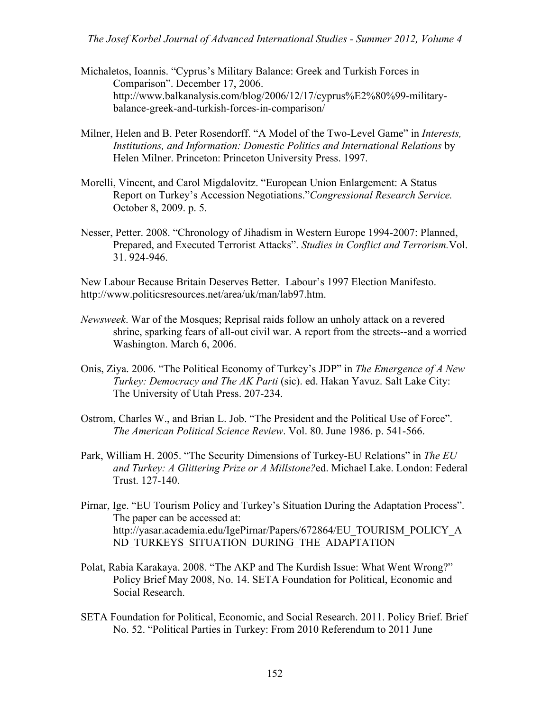- Michaletos, Ioannis. "Cyprus's Military Balance: Greek and Turkish Forces in Comparison". December 17, 2006. http://www.balkanalysis.com/blog/2006/12/17/cyprus%E2%80%99-militarybalance-greek-and-turkish-forces-in-comparison/
- Milner, Helen and B. Peter Rosendorff. "A Model of the Two-Level Game" in *Interests, Institutions, and Information: Domestic Politics and International Relations* by Helen Milner. Princeton: Princeton University Press. 1997.
- Morelli, Vincent, and Carol Migdalovitz. "European Union Enlargement: A Status Report on Turkey's Accession Negotiations."*Congressional Research Service.* October 8, 2009. p. 5.
- Nesser, Petter. 2008. "Chronology of Jihadism in Western Europe 1994-2007: Planned, Prepared, and Executed Terrorist Attacks". *Studies in Conflict and Terrorism.*Vol. 31. 924-946.

New Labour Because Britain Deserves Better. Labour's 1997 Election Manifesto. http://www.politicsresources.net/area/uk/man/lab97.htm.

- *Newsweek*. War of the Mosques; Reprisal raids follow an unholy attack on a revered shrine, sparking fears of all-out civil war. A report from the streets--and a worried Washington. March 6, 2006.
- Onis, Ziya. 2006. "The Political Economy of Turkey's JDP" in *The Emergence of A New Turkey: Democracy and The AK Parti* (sic). ed. Hakan Yavuz. Salt Lake City: The University of Utah Press. 207-234.
- Ostrom, Charles W., and Brian L. Job. "The President and the Political Use of Force". *The American Political Science Review*. Vol. 80. June 1986. p. 541-566.
- Park, William H. 2005. "The Security Dimensions of Turkey-EU Relations" in *The EU and Turkey: A Glittering Prize or A Millstone?*ed. Michael Lake. London: Federal Trust. 127-140.
- Pirnar, Ige. "EU Tourism Policy and Turkey's Situation During the Adaptation Process". The paper can be accessed at: http://yasar.academia.edu/IgePirnar/Papers/672864/EU\_TOURISM\_POLICY\_A ND TURKEYS SITUATION DURING THE ADAPTATION
- Polat, Rabia Karakaya. 2008. "The AKP and The Kurdish Issue: What Went Wrong?" Policy Brief May 2008, No. 14. SETA Foundation for Political, Economic and Social Research.
- SETA Foundation for Political, Economic, and Social Research. 2011. Policy Brief. Brief No. 52. "Political Parties in Turkey: From 2010 Referendum to 2011 June